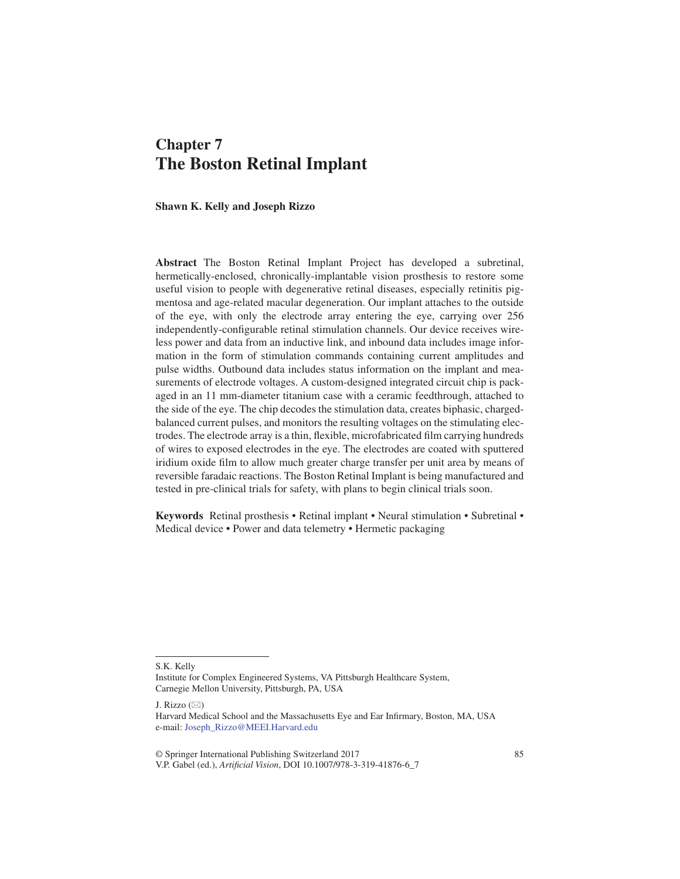# **Chapter 7 The Boston Retinal Implant**

 **Shawn K. Kelly and Joseph Rizzo** 

 **Abstract** The Boston Retinal Implant Project has developed a subretinal, hermetically-enclosed, chronically-implantable vision prosthesis to restore some useful vision to people with degenerative retinal diseases, especially retinitis pigmentosa and age-related macular degeneration. Our implant attaches to the outside of the eye, with only the electrode array entering the eye, carrying over 256 independently-configurable retinal stimulation channels. Our device receives wireless power and data from an inductive link, and inbound data includes image information in the form of stimulation commands containing current amplitudes and pulse widths. Outbound data includes status information on the implant and measurements of electrode voltages. A custom-designed integrated circuit chip is packaged in an 11 mm-diameter titanium case with a ceramic feedthrough, attached to the side of the eye. The chip decodes the stimulation data, creates biphasic, chargedbalanced current pulses, and monitors the resulting voltages on the stimulating electrodes. The electrode array is a thin, flexible, microfabricated film carrying hundreds of wires to exposed electrodes in the eye. The electrodes are coated with sputtered iridium oxide film to allow much greater charge transfer per unit area by means of reversible faradaic reactions. The Boston Retinal Implant is being manufactured and tested in pre-clinical trials for safety, with plans to begin clinical trials soon.

 **Keywords** Retinal prosthesis • Retinal implant • Neural stimulation • Subretinal • Medical device • Power and data telemetry • Hermetic packaging

S.K. Kelly

J. Rizzo  $(\boxtimes)$ Harvard Medical School and the Massachusetts Eye and Ear Infirmary, Boston, MA, USA e-mail: Joseph\_Rizzo@MEEI.Harvard.edu

Institute for Complex Engineered Systems, VA Pittsburgh Healthcare System, Carnegie Mellon University, Pittsburgh, PA, USA

<sup>©</sup> Springer International Publishing Switzerland 2017 85 V.P. Gabel (ed.), *Artificial Vision*, DOI 10.1007/978-3-319-41876-6\_7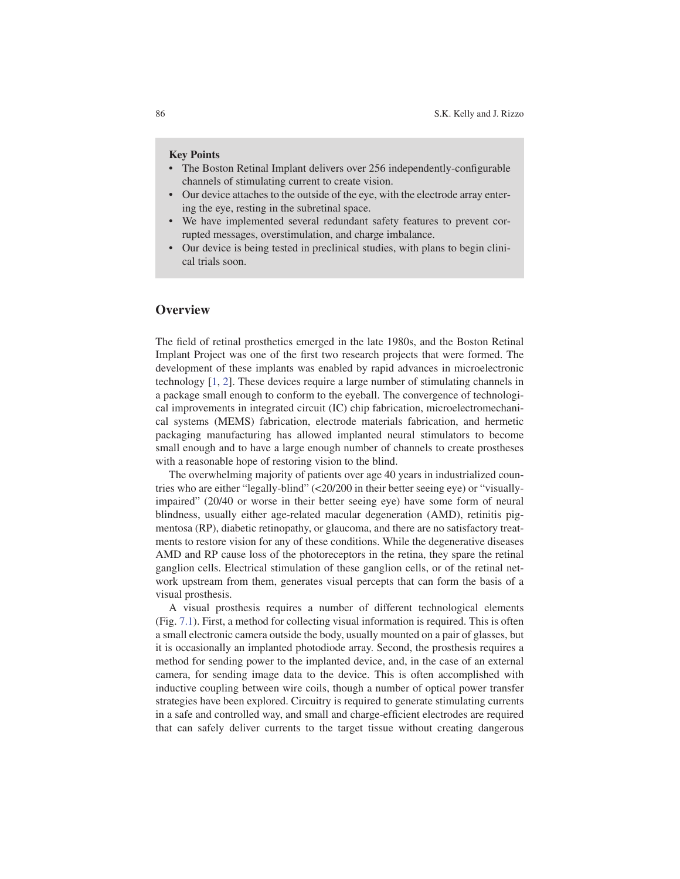### **Key Points**

- The Boston Retinal Implant delivers over 256 independently-configurable channels of stimulating current to create vision.
- Our device attaches to the outside of the eye, with the electrode array entering the eye, resting in the subretinal space.
- We have implemented several redundant safety features to prevent corrupted messages, overstimulation, and charge imbalance.
- Our device is being tested in preclinical studies, with plans to begin clinical trials soon.

### **Overview**

The field of retinal prosthetics emerged in the late 1980s, and the Boston Retinal Implant Project was one of the first two research projects that were formed. The development of these implants was enabled by rapid advances in microelectronic technology [1, 2]. These devices require a large number of stimulating channels in a package small enough to conform to the eyeball. The convergence of technological improvements in integrated circuit (IC) chip fabrication, microelectromechanical systems (MEMS) fabrication, electrode materials fabrication, and hermetic packaging manufacturing has allowed implanted neural stimulators to become small enough and to have a large enough number of channels to create prostheses with a reasonable hope of restoring vision to the blind.

 The overwhelming majority of patients over age 40 years in industrialized countries who are either "legally-blind" (<20/200 in their better seeing eye) or "visuallyimpaired" (20/40 or worse in their better seeing eye) have some form of neural blindness, usually either age-related macular degeneration (AMD), retinitis pigmentosa (RP), diabetic retinopathy, or glaucoma, and there are no satisfactory treatments to restore vision for any of these conditions. While the degenerative diseases AMD and RP cause loss of the photoreceptors in the retina, they spare the retinal ganglion cells. Electrical stimulation of these ganglion cells, or of the retinal network upstream from them, generates visual percepts that can form the basis of a visual prosthesis.

 A visual prosthesis requires a number of different technological elements (Fig. 7.1 ). First, a method for collecting visual information is required. This is often a small electronic camera outside the body, usually mounted on a pair of glasses, but it is occasionally an implanted photodiode array. Second, the prosthesis requires a method for sending power to the implanted device, and, in the case of an external camera, for sending image data to the device. This is often accomplished with inductive coupling between wire coils, though a number of optical power transfer strategies have been explored. Circuitry is required to generate stimulating currents in a safe and controlled way, and small and charge-efficient electrodes are required that can safely deliver currents to the target tissue without creating dangerous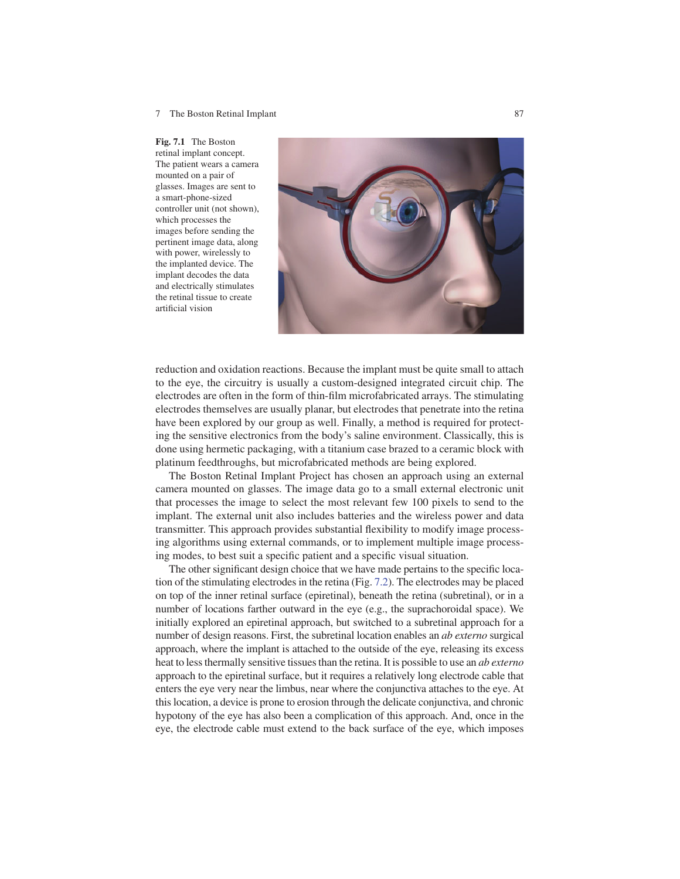**Fig. 7.1** The Boston retinal implant concept. The patient wears a camera mounted on a pair of glasses. Images are sent to a smart-phone-sized controller unit (not shown), which processes the images before sending the pertinent image data, along with power, wirelessly to the implanted device. The implant decodes the data and electrically stimulates the retinal tissue to create artificial vision



 reduction and oxidation reactions. Because the implant must be quite small to attach to the eye, the circuitry is usually a custom-designed integrated circuit chip. The electrodes are often in the form of thin-film microfabricated arrays. The stimulating electrodes themselves are usually planar, but electrodes that penetrate into the retina have been explored by our group as well. Finally, a method is required for protecting the sensitive electronics from the body's saline environment. Classically, this is done using hermetic packaging, with a titanium case brazed to a ceramic block with platinum feedthroughs, but microfabricated methods are being explored.

 The Boston Retinal Implant Project has chosen an approach using an external camera mounted on glasses. The image data go to a small external electronic unit that processes the image to select the most relevant few 100 pixels to send to the implant. The external unit also includes batteries and the wireless power and data transmitter. This approach provides substantial flexibility to modify image processing algorithms using external commands, or to implement multiple image processing modes, to best suit a specific patient and a specific visual situation.

The other significant design choice that we have made pertains to the specific location of the stimulating electrodes in the retina (Fig. 7.2 ). The electrodes may be placed on top of the inner retinal surface (epiretinal), beneath the retina (subretinal), or in a number of locations farther outward in the eye (e.g., the suprachoroidal space). We initially explored an epiretinal approach, but switched to a subretinal approach for a number of design reasons. First, the subretinal location enables an *ab externo* surgical approach, where the implant is attached to the outside of the eye, releasing its excess heat to less thermally sensitive tissues than the retina. It is possible to use an *ab externo* approach to the epiretinal surface, but it requires a relatively long electrode cable that enters the eye very near the limbus, near where the conjunctiva attaches to the eye. At this location, a device is prone to erosion through the delicate conjunctiva, and chronic hypotony of the eye has also been a complication of this approach. And, once in the eye, the electrode cable must extend to the back surface of the eye, which imposes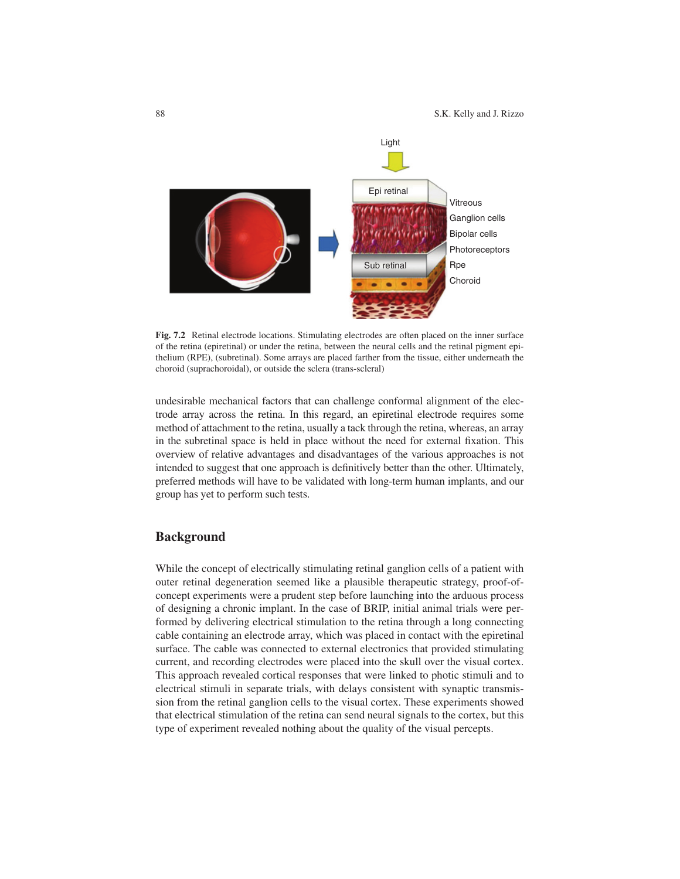

 **Fig. 7.2** Retinal electrode locations. Stimulating electrodes are often placed on the inner surface of the retina (epiretinal) or under the retina, between the neural cells and the retinal pigment epithelium (RPE), (subretinal). Some arrays are placed farther from the tissue, either underneath the choroid (suprachoroidal), or outside the sclera (trans-scleral)

undesirable mechanical factors that can challenge conformal alignment of the electrode array across the retina. In this regard, an epiretinal electrode requires some method of attachment to the retina, usually a tack through the retina, whereas, an array in the subretinal space is held in place without the need for external fixation. This overview of relative advantages and disadvantages of the various approaches is not intended to suggest that one approach is definitively better than the other. Ultimately, preferred methods will have to be validated with long-term human implants, and our group has yet to perform such tests.

# **Background**

 While the concept of electrically stimulating retinal ganglion cells of a patient with outer retinal degeneration seemed like a plausible therapeutic strategy, proof-ofconcept experiments were a prudent step before launching into the arduous process of designing a chronic implant. In the case of BRIP, initial animal trials were performed by delivering electrical stimulation to the retina through a long connecting cable containing an electrode array, which was placed in contact with the epiretinal surface. The cable was connected to external electronics that provided stimulating current, and recording electrodes were placed into the skull over the visual cortex. This approach revealed cortical responses that were linked to photic stimuli and to electrical stimuli in separate trials, with delays consistent with synaptic transmission from the retinal ganglion cells to the visual cortex. These experiments showed that electrical stimulation of the retina can send neural signals to the cortex, but this type of experiment revealed nothing about the quality of the visual percepts.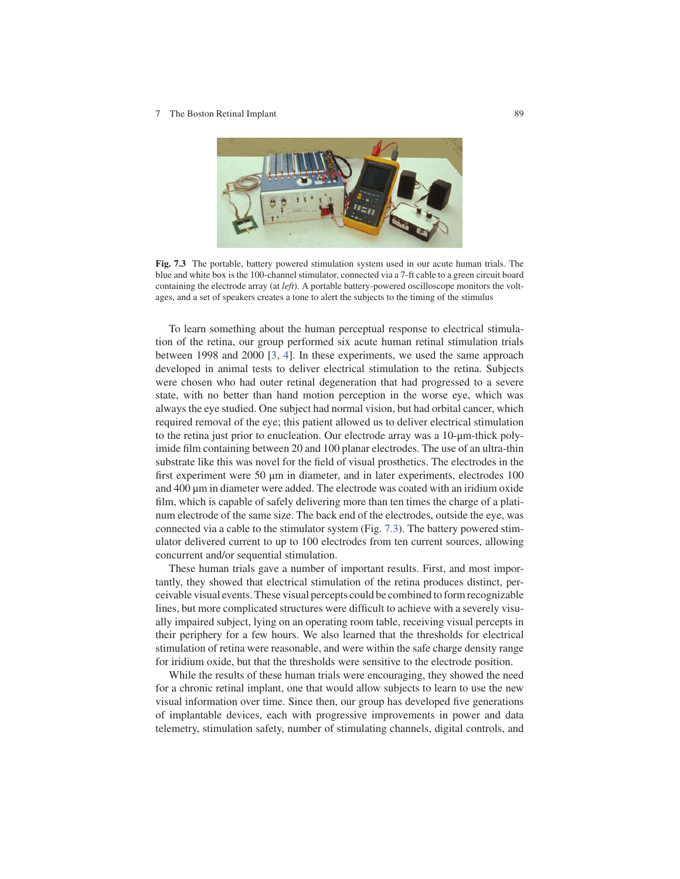

 **Fig. 7.3** The portable, battery powered stimulation system used in our acute human trials. The blue and white box is the 100-channel stimulator, connected via a 7-ft cable to a green circuit board containing the electrode array (at *left* ). A portable battery-powered oscilloscope monitors the voltages, and a set of speakers creates a tone to alert the subjects to the timing of the stimulus

 To learn something about the human perceptual response to electrical stimulation of the retina, our group performed six acute human retinal stimulation trials between 1998 and 2000 [3, 4]. In these experiments, we used the same approach developed in animal tests to deliver electrical stimulation to the retina. Subjects were chosen who had outer retinal degeneration that had progressed to a severe state, with no better than hand motion perception in the worse eye, which was always the eye studied. One subject had normal vision, but had orbital cancer, which required removal of the eye; this patient allowed us to deliver electrical stimulation to the retina just prior to enucleation. Our electrode array was a 10-μm-thick polyimide film containing between 20 and 100 planar electrodes. The use of an ultra-thin substrate like this was novel for the field of visual prosthetics. The electrodes in the first experiment were 50 μm in diameter, and in later experiments, electrodes 100 and 400 μm in diameter were added. The electrode was coated with an iridium oxide film, which is capable of safely delivering more than ten times the charge of a platinum electrode of the same size. The back end of the electrodes, outside the eye, was connected via a cable to the stimulator system (Fig. 7.3 ). The battery powered stimulator delivered current to up to 100 electrodes from ten current sources, allowing concurrent and/or sequential stimulation.

 These human trials gave a number of important results. First, and most importantly, they showed that electrical stimulation of the retina produces distinct, perceivable visual events. These visual percepts could be combined to form recognizable lines, but more complicated structures were difficult to achieve with a severely visually impaired subject, lying on an operating room table, receiving visual percepts in their periphery for a few hours. We also learned that the thresholds for electrical stimulation of retina were reasonable, and were within the safe charge density range for iridium oxide, but that the thresholds were sensitive to the electrode position.

 While the results of these human trials were encouraging, they showed the need for a chronic retinal implant, one that would allow subjects to learn to use the new visual information over time. Since then, our group has developed five generations of implantable devices, each with progressive improvements in power and data telemetry, stimulation safety, number of stimulating channels, digital controls, and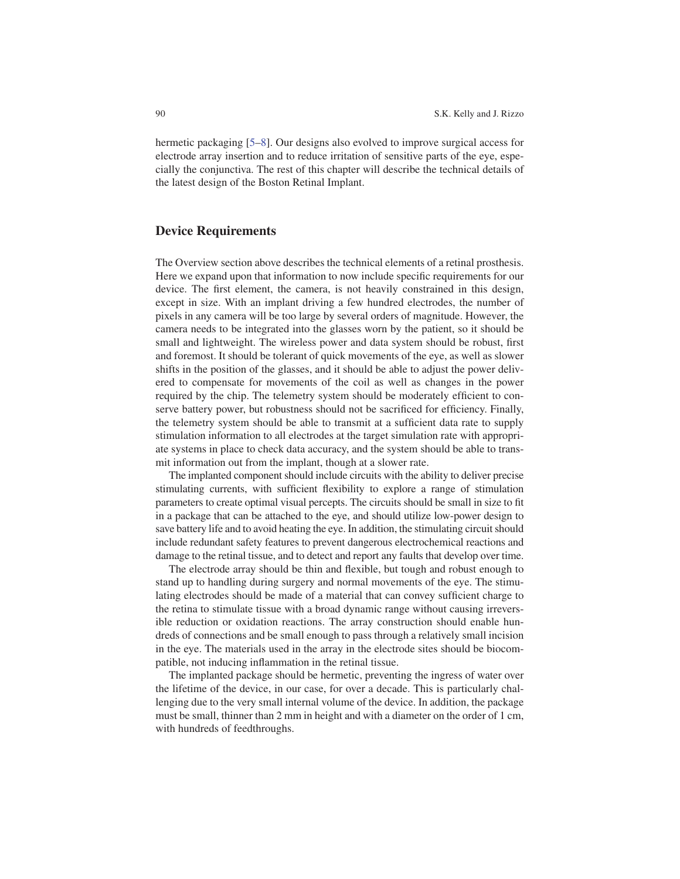hermetic packaging [5-8]. Our designs also evolved to improve surgical access for electrode array insertion and to reduce irritation of sensitive parts of the eye, especially the conjunctiva. The rest of this chapter will describe the technical details of the latest design of the Boston Retinal Implant.

# **Device Requirements**

 The Overview section above describes the technical elements of a retinal prosthesis. Here we expand upon that information to now include specific requirements for our device. The first element, the camera, is not heavily constrained in this design, except in size. With an implant driving a few hundred electrodes, the number of pixels in any camera will be too large by several orders of magnitude. However, the camera needs to be integrated into the glasses worn by the patient, so it should be small and lightweight. The wireless power and data system should be robust, first and foremost. It should be tolerant of quick movements of the eye, as well as slower shifts in the position of the glasses, and it should be able to adjust the power delivered to compensate for movements of the coil as well as changes in the power required by the chip. The telemetry system should be moderately efficient to conserve battery power, but robustness should not be sacrificed for efficiency. Finally, the telemetry system should be able to transmit at a sufficient data rate to supply stimulation information to all electrodes at the target simulation rate with appropriate systems in place to check data accuracy, and the system should be able to transmit information out from the implant, though at a slower rate.

 The implanted component should include circuits with the ability to deliver precise stimulating currents, with sufficient flexibility to explore a range of stimulation parameters to create optimal visual percepts. The circuits should be small in size to fit in a package that can be attached to the eye, and should utilize low-power design to save battery life and to avoid heating the eye. In addition, the stimulating circuit should include redundant safety features to prevent dangerous electrochemical reactions and damage to the retinal tissue, and to detect and report any faults that develop over time.

The electrode array should be thin and flexible, but tough and robust enough to stand up to handling during surgery and normal movements of the eye. The stimulating electrodes should be made of a material that can convey sufficient charge to the retina to stimulate tissue with a broad dynamic range without causing irreversible reduction or oxidation reactions. The array construction should enable hundreds of connections and be small enough to pass through a relatively small incision in the eye. The materials used in the array in the electrode sites should be biocompatible, not inducing inflammation in the retinal tissue.

 The implanted package should be hermetic, preventing the ingress of water over the lifetime of the device, in our case, for over a decade. This is particularly challenging due to the very small internal volume of the device. In addition, the package must be small, thinner than 2 mm in height and with a diameter on the order of 1 cm, with hundreds of feedthroughs.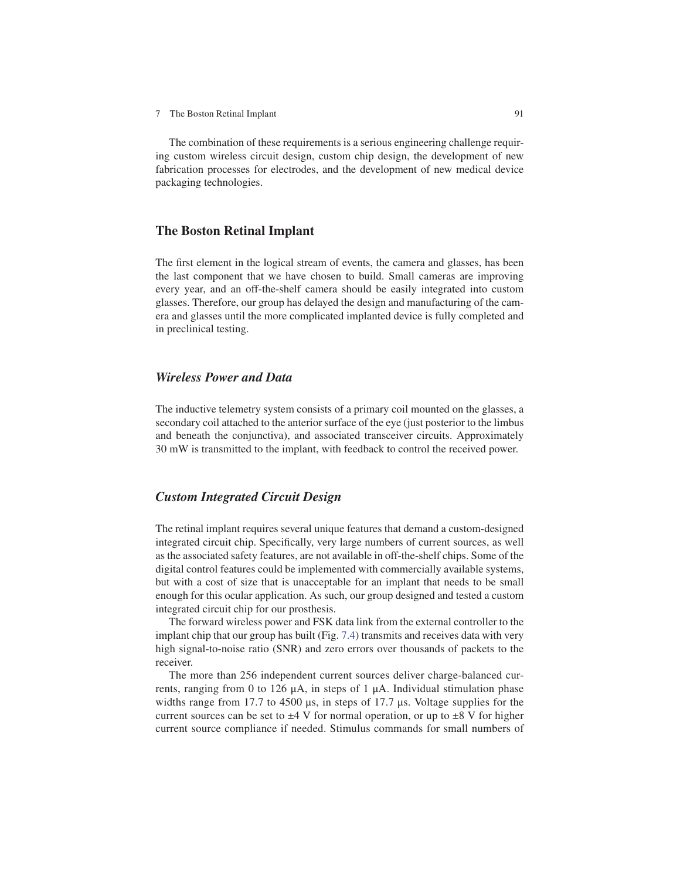The combination of these requirements is a serious engineering challenge requiring custom wireless circuit design, custom chip design, the development of new fabrication processes for electrodes, and the development of new medical device packaging technologies.

# **The Boston Retinal Implant**

The first element in the logical stream of events, the camera and glasses, has been the last component that we have chosen to build. Small cameras are improving every year, and an off-the-shelf camera should be easily integrated into custom glasses. Therefore, our group has delayed the design and manufacturing of the camera and glasses until the more complicated implanted device is fully completed and in preclinical testing.

# *Wireless Power and Data*

 The inductive telemetry system consists of a primary coil mounted on the glasses, a secondary coil attached to the anterior surface of the eye (just posterior to the limbus and beneath the conjunctiva), and associated transceiver circuits. Approximately 30 mW is transmitted to the implant, with feedback to control the received power.

# *Custom Integrated Circuit Design*

 The retinal implant requires several unique features that demand a custom-designed integrated circuit chip. Specifically, very large numbers of current sources, as well as the associated safety features, are not available in off-the-shelf chips. Some of the digital control features could be implemented with commercially available systems, but with a cost of size that is unacceptable for an implant that needs to be small enough for this ocular application. As such, our group designed and tested a custom integrated circuit chip for our prosthesis.

 The forward wireless power and FSK data link from the external controller to the implant chip that our group has built (Fig. 7.4) transmits and receives data with very high signal-to-noise ratio (SNR) and zero errors over thousands of packets to the receiver.

 The more than 256 independent current sources deliver charge-balanced currents, ranging from 0 to 126  $\mu$ A, in steps of 1  $\mu$ A. Individual stimulation phase widths range from 17.7 to 4500 μs, in steps of 17.7 μs. Voltage supplies for the current sources can be set to  $\pm$ 4 V for normal operation, or up to  $\pm$ 8 V for higher current source compliance if needed. Stimulus commands for small numbers of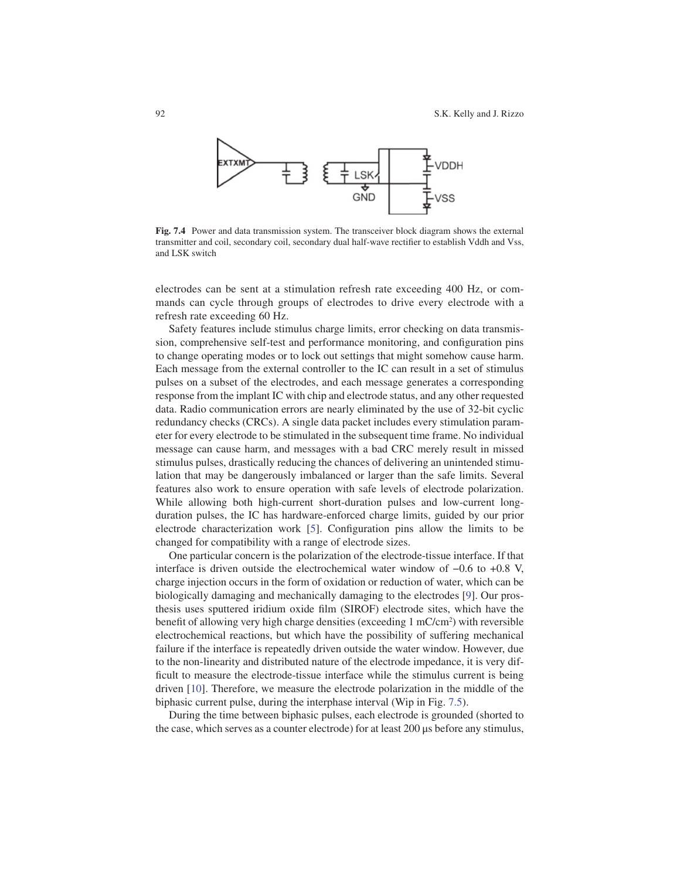

 **Fig. 7.4** Power and data transmission system. The transceiver block diagram shows the external transmitter and coil, secondary coil, secondary dual half-wave rectifier to establish Vddh and Vss, and LSK switch

electrodes can be sent at a stimulation refresh rate exceeding 400 Hz, or commands can cycle through groups of electrodes to drive every electrode with a refresh rate exceeding 60 Hz.

 Safety features include stimulus charge limits, error checking on data transmission, comprehensive self-test and performance monitoring, and configuration pins to change operating modes or to lock out settings that might somehow cause harm. Each message from the external controller to the IC can result in a set of stimulus pulses on a subset of the electrodes, and each message generates a corresponding response from the implant IC with chip and electrode status, and any other requested data. Radio communication errors are nearly eliminated by the use of 32-bit cyclic redundancy checks (CRCs). A single data packet includes every stimulation parameter for every electrode to be stimulated in the subsequent time frame. No individual message can cause harm, and messages with a bad CRC merely result in missed stimulus pulses, drastically reducing the chances of delivering an unintended stimulation that may be dangerously imbalanced or larger than the safe limits. Several features also work to ensure operation with safe levels of electrode polarization. While allowing both high-current short-duration pulses and low-current longduration pulses, the IC has hardware-enforced charge limits, guided by our prior electrode characterization work [5]. Configuration pins allow the limits to be changed for compatibility with a range of electrode sizes.

 One particular concern is the polarization of the electrode-tissue interface. If that interface is driven outside the electrochemical water window of −0.6 to +0.8 V, charge injection occurs in the form of oxidation or reduction of water, which can be biologically damaging and mechanically damaging to the electrodes [9]. Our prosthesis uses sputtered iridium oxide film (SIROF) electrode sites, which have the benefit of allowing very high charge densities (exceeding 1 mC/cm<sup>2</sup>) with reversible electrochemical reactions, but which have the possibility of suffering mechanical failure if the interface is repeatedly driven outside the water window. However, due to the non-linearity and distributed nature of the electrode impedance, it is very difficult to measure the electrode-tissue interface while the stimulus current is being driven [10]. Therefore, we measure the electrode polarization in the middle of the biphasic current pulse, during the interphase interval (Wip in Fig. 7.5 ).

 During the time between biphasic pulses, each electrode is grounded (shorted to the case, which serves as a counter electrode) for at least 200 μs before any stimulus,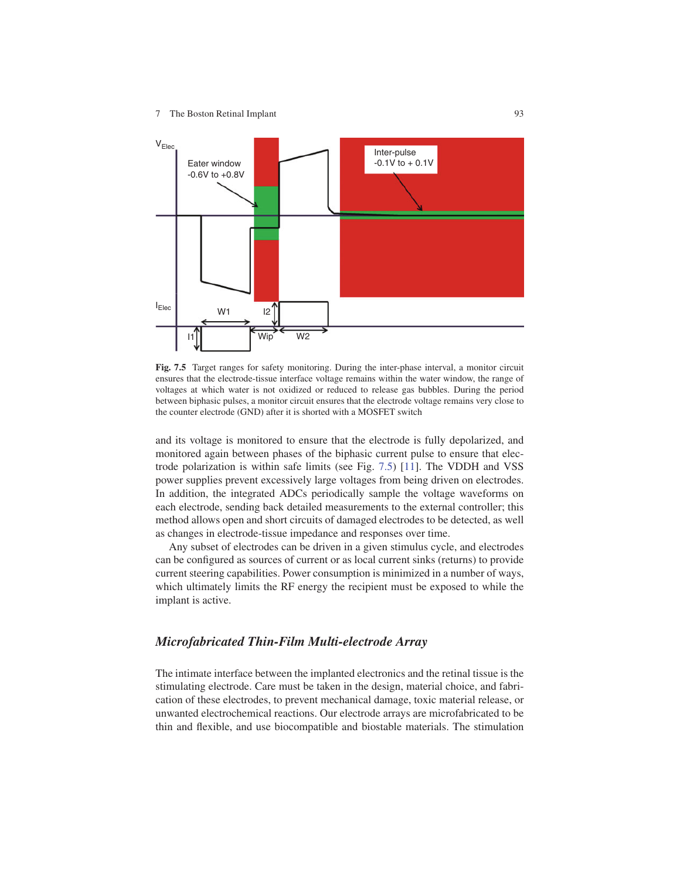

 **Fig. 7.5** Target ranges for safety monitoring. During the inter-phase interval, a monitor circuit ensures that the electrode-tissue interface voltage remains within the water window, the range of voltages at which water is not oxidized or reduced to release gas bubbles. During the period between biphasic pulses, a monitor circuit ensures that the electrode voltage remains very close to the counter electrode (GND) after it is shorted with a MOSFET switch

and its voltage is monitored to ensure that the electrode is fully depolarized, and monitored again between phases of the biphasic current pulse to ensure that electrode polarization is within safe limits (see Fig.  $7.5$ ) [11]. The VDDH and VSS power supplies prevent excessively large voltages from being driven on electrodes. In addition, the integrated ADCs periodically sample the voltage waveforms on each electrode, sending back detailed measurements to the external controller; this method allows open and short circuits of damaged electrodes to be detected, as well as changes in electrode-tissue impedance and responses over time.

 Any subset of electrodes can be driven in a given stimulus cycle, and electrodes can be configured as sources of current or as local current sinks (returns) to provide current steering capabilities. Power consumption is minimized in a number of ways, which ultimately limits the RF energy the recipient must be exposed to while the implant is active.

# *Microfabricated Thin-Film Multi-electrode Array*

 The intimate interface between the implanted electronics and the retinal tissue is the stimulating electrode. Care must be taken in the design, material choice, and fabrication of these electrodes, to prevent mechanical damage, toxic material release, or unwanted electrochemical reactions. Our electrode arrays are microfabricated to be thin and flexible, and use biocompatible and biostable materials. The stimulation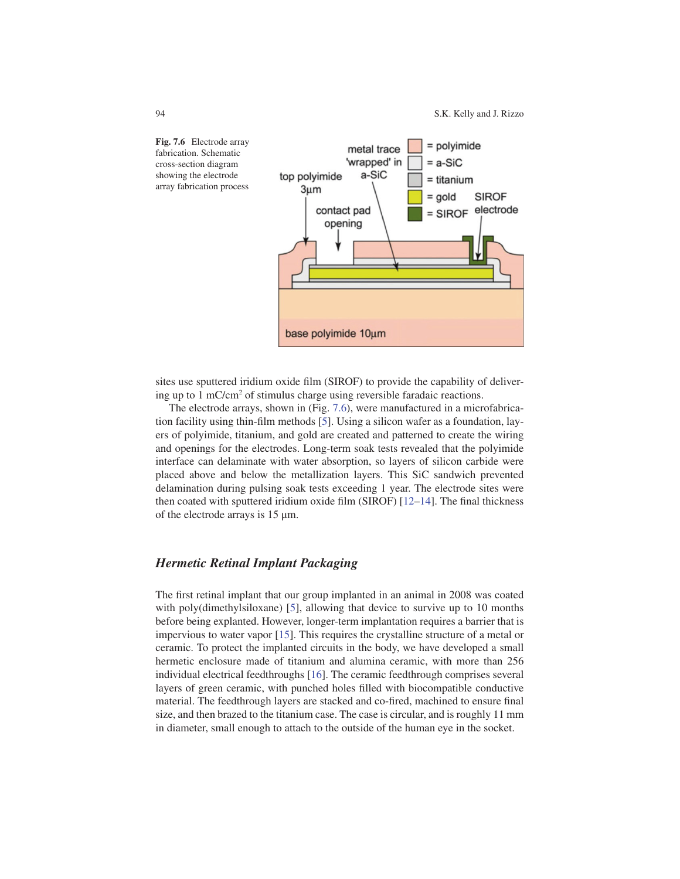S.K. Kelly and J. Rizzo



sites use sputtered iridium oxide film (SIROF) to provide the capability of delivering up to 1 mC/cm<sup>2</sup> of stimulus charge using reversible faradaic reactions.

The electrode arrays, shown in (Fig. 7.6), were manufactured in a microfabrication facility using thin-film methods [5]. Using a silicon wafer as a foundation, layers of polyimide, titanium, and gold are created and patterned to create the wiring and openings for the electrodes. Long-term soak tests revealed that the polyimide interface can delaminate with water absorption, so layers of silicon carbide were placed above and below the metallization layers. This SiC sandwich prevented delamination during pulsing soak tests exceeding 1 year. The electrode sites were then coated with sputtered iridium oxide film (SIROF)  $[12-14]$ . The final thickness of the electrode arrays is 15 μm.

# *Hermetic Retinal Implant Packaging*

The first retinal implant that our group implanted in an animal in 2008 was coated with poly(dimethylsiloxane) [5], allowing that device to survive up to 10 months before being explanted. However, longer-term implantation requires a barrier that is impervious to water vapor [15]. This requires the crystalline structure of a metal or ceramic. To protect the implanted circuits in the body, we have developed a small hermetic enclosure made of titanium and alumina ceramic, with more than 256 individual electrical feedthroughs [16]. The ceramic feedthrough comprises several layers of green ceramic, with punched holes filled with biocompatible conductive material. The feedthrough layers are stacked and co-fired, machined to ensure final size, and then brazed to the titanium case. The case is circular, and is roughly 11 mm in diameter, small enough to attach to the outside of the human eye in the socket.

94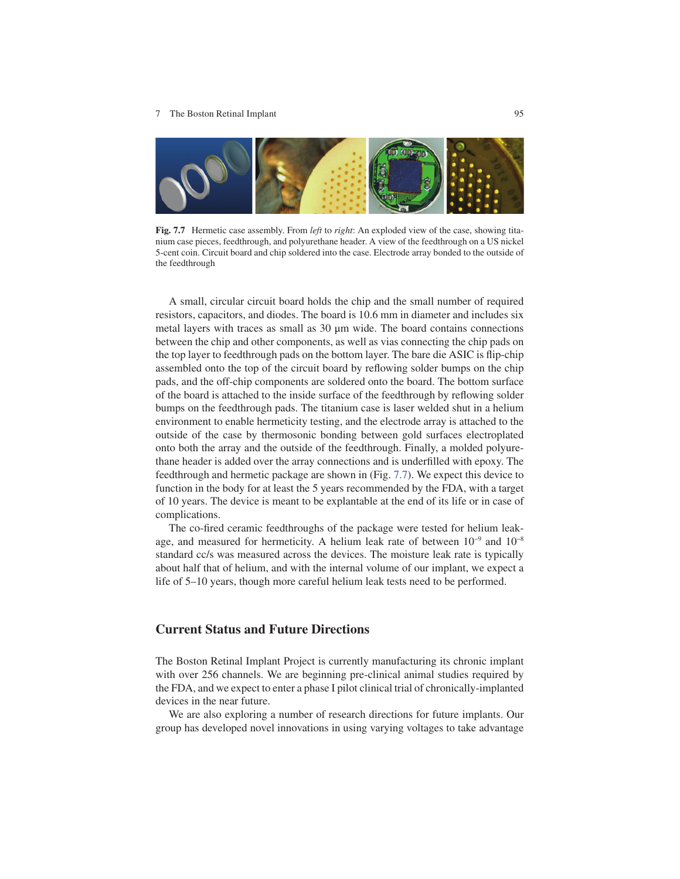

 **Fig. 7.7** Hermetic case assembly. From *left* to *right* : An exploded view of the case, showing titanium case pieces, feedthrough, and polyurethane header. A view of the feedthrough on a US nickel 5-cent coin. Circuit board and chip soldered into the case. Electrode array bonded to the outside of the feedthrough

 A small, circular circuit board holds the chip and the small number of required resistors, capacitors, and diodes. The board is 10.6 mm in diameter and includes six metal layers with traces as small as 30 μm wide. The board contains connections between the chip and other components, as well as vias connecting the chip pads on the top layer to feedthrough pads on the bottom layer. The bare die ASIC is flip-chip assembled onto the top of the circuit board by reflowing solder bumps on the chip pads, and the off-chip components are soldered onto the board. The bottom surface of the board is attached to the inside surface of the feedthrough by reflowing solder bumps on the feedthrough pads. The titanium case is laser welded shut in a helium environment to enable hermeticity testing, and the electrode array is attached to the outside of the case by thermosonic bonding between gold surfaces electroplated onto both the array and the outside of the feedthrough. Finally, a molded polyurethane header is added over the array connections and is underfilled with epoxy. The feedthrough and hermetic package are shown in (Fig. 7.7 ). We expect this device to function in the body for at least the 5 years recommended by the FDA, with a target of 10 years. The device is meant to be explantable at the end of its life or in case of complications.

The co-fired ceramic feedthroughs of the package were tested for helium leakage, and measured for hermeticity. A helium leak rate of between  $10^{-9}$  and  $10^{-8}$ standard cc/s was measured across the devices. The moisture leak rate is typically about half that of helium, and with the internal volume of our implant, we expect a life of 5–10 years, though more careful helium leak tests need to be performed.

### **Current Status and Future Directions**

 The Boston Retinal Implant Project is currently manufacturing its chronic implant with over 256 channels. We are beginning pre-clinical animal studies required by the FDA, and we expect to enter a phase I pilot clinical trial of chronically-implanted devices in the near future.

 We are also exploring a number of research directions for future implants. Our group has developed novel innovations in using varying voltages to take advantage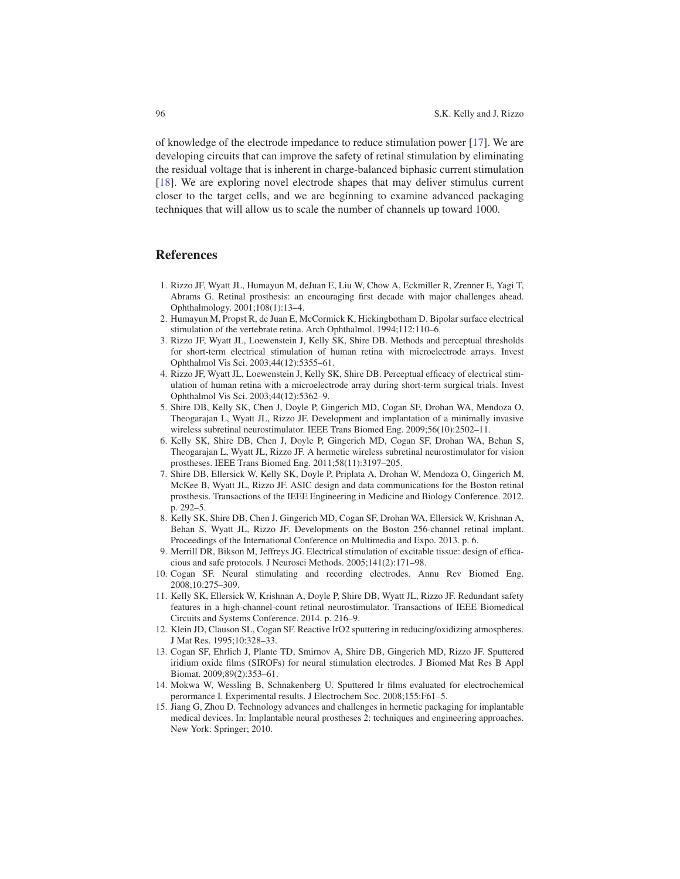of knowledge of the electrode impedance to reduce stimulation power [ 17 ]. We are developing circuits that can improve the safety of retinal stimulation by eliminating the residual voltage that is inherent in charge-balanced biphasic current stimulation [18]. We are exploring novel electrode shapes that may deliver stimulus current closer to the target cells, and we are beginning to examine advanced packaging techniques that will allow us to scale the number of channels up toward 1000.

# **References**

- 1. Rizzo JF, Wyatt JL, Humayun M, deJuan E, Liu W, Chow A, Eckmiller R, Zrenner E, Yagi T, Abrams G. Retinal prosthesis: an encouraging first decade with major challenges ahead. Ophthalmology. 2001;108(1):13–4.
- 2. Humayun M, Propst R, de Juan E, McCormick K, Hickingbotham D. Bipolar surface electrical stimulation of the vertebrate retina. Arch Ophthalmol. 1994;112:110–6.
- 3. Rizzo JF, Wyatt JL, Loewenstein J, Kelly SK, Shire DB. Methods and perceptual thresholds for short-term electrical stimulation of human retina with microelectrode arrays. Invest Ophthalmol Vis Sci. 2003;44(12):5355–61.
- 4. Rizzo JF, Wyatt JL, Loewenstein J, Kelly SK, Shire DB. Perceptual efficacy of electrical stimulation of human retina with a microelectrode array during short-term surgical trials. Invest Ophthalmol Vis Sci. 2003;44(12):5362–9.
- 5. Shire DB, Kelly SK, Chen J, Doyle P, Gingerich MD, Cogan SF, Drohan WA, Mendoza O, Theogarajan L, Wyatt JL, Rizzo JF. Development and implantation of a minimally invasive wireless subretinal neurostimulator. IEEE Trans Biomed Eng. 2009;56(10):2502–11.
- 6. Kelly SK, Shire DB, Chen J, Doyle P, Gingerich MD, Cogan SF, Drohan WA, Behan S, Theogarajan L, Wyatt JL, Rizzo JF. A hermetic wireless subretinal neurostimulator for vision prostheses. IEEE Trans Biomed Eng. 2011;58(11):3197–205.
- 7. Shire DB, Ellersick W, Kelly SK, Doyle P, Priplata A, Drohan W, Mendoza O, Gingerich M, McKee B, Wyatt JL, Rizzo JF. ASIC design and data communications for the Boston retinal prosthesis. Transactions of the IEEE Engineering in Medicine and Biology Conference. 2012. p. 292–5.
- 8. Kelly SK, Shire DB, Chen J, Gingerich MD, Cogan SF, Drohan WA, Ellersick W, Krishnan A, Behan S, Wyatt JL, Rizzo JF. Developments on the Boston 256-channel retinal implant. Proceedings of the International Conference on Multimedia and Expo. 2013. p. 6.
- 9. Merrill DR, Bikson M, Jeffreys JG. Electrical stimulation of excitable tissue: design of efficacious and safe protocols. J Neurosci Methods. 2005;141(2):171–98.
- 10. Cogan SF. Neural stimulating and recording electrodes. Annu Rev Biomed Eng. 2008;10:275–309.
- 11. Kelly SK, Ellersick W, Krishnan A, Doyle P, Shire DB, Wyatt JL, Rizzo JF. Redundant safety features in a high-channel-count retinal neurostimulator. Transactions of IEEE Biomedical Circuits and Systems Conference. 2014. p. 216–9.
- 12. Klein JD, Clauson SL, Cogan SF. Reactive IrO2 sputtering in reducing/oxidizing atmospheres. J Mat Res. 1995;10:328–33.
- 13. Cogan SF, Ehrlich J, Plante TD, Smirnov A, Shire DB, Gingerich MD, Rizzo JF. Sputtered iridium oxide films (SIROFs) for neural stimulation electrodes. J Biomed Mat Res B Appl Biomat. 2009;89(2):353–61.
- 14. Mokwa W, Wessling B, Schnakenberg U. Sputtered Ir films evaluated for electrochemical perormance I. Experimental results. J Electrochem Soc. 2008;155:F61–5.
- 15. Jiang G, Zhou D. Technology advances and challenges in hermetic packaging for implantable medical devices. In: Implantable neural prostheses 2: techniques and engineering approaches. New York: Springer; 2010.